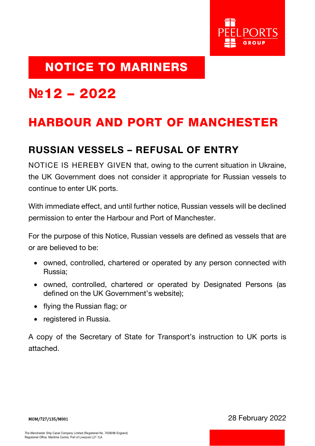

### NOTICE TO MARINERS

# **№**12 – 2022

## HARBOUR AND PORT OF MANCHESTER

#### RUSSIAN VESSELS – REFUSAL OF ENTRY

NOTICE IS HEREBY GIVEN that, owing to the current situation in Ukraine, the UK Government does not consider it appropriate for Russian vessels to continue to enter UK ports.

With immediate effect, and until further notice, Russian vessels will be declined permission to enter the Harbour and Port of Manchester.

For the purpose of this Notice, Russian vessels are defined as vessels that are or are believed to be:

- owned, controlled, chartered or operated by any person connected with Russia;
- owned, controlled, chartered or operated by Designated Persons (as defined on the UK Government's website);
- flying the Russian flag; or
- registered in Russia.

A copy of the Secretary of State for Transport's instruction to UK ports is attached.

MOM/727/135/M001 28 February 2022